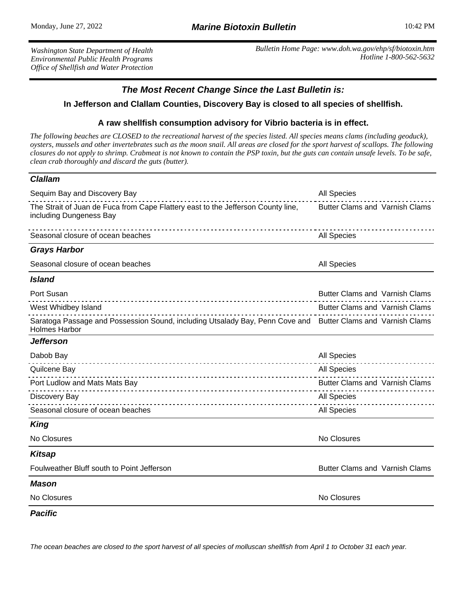*Washington State Department of Health Environmental Public Health Programs Office of Shellfish and Water Protection* *Bulletin Home Page: www.doh.wa.gov/ehp/sf/biotoxin.htm Hotline 1-800-562-5632*

## **The Most Recent Change Since the Last Bulletin is:**

## **In Jefferson and Clallam Counties, Discovery Bay is closed to all species of shellfish.**

## **A raw shellfish consumption advisory for Vibrio bacteria is in effect.**

*The following beaches are CLOSED to the recreational harvest of the species listed. All species means clams (including geoduck), oysters, mussels and other invertebrates such as the moon snail. All areas are closed for the sport harvest of scallops. The following closures do not apply to shrimp. Crabmeat is not known to contain the PSP toxin, but the guts can contain unsafe levels. To be safe, clean crab thoroughly and discard the guts (butter).*

## **Clallam**

| Sequim Bay and Discovery Bay                                                                                                        | All Species                           |
|-------------------------------------------------------------------------------------------------------------------------------------|---------------------------------------|
| The Strait of Juan de Fuca from Cape Flattery east to the Jefferson County line,<br>including Dungeness Bay                         | <b>Butter Clams and Varnish Clams</b> |
| Seasonal closure of ocean beaches                                                                                                   | <b>All Species</b>                    |
| <b>Grays Harbor</b>                                                                                                                 |                                       |
| Seasonal closure of ocean beaches                                                                                                   | <b>All Species</b>                    |
| <b>Island</b>                                                                                                                       |                                       |
| Port Susan                                                                                                                          | <b>Butter Clams and Varnish Clams</b> |
| West Whidbey Island                                                                                                                 | Butter Clams and Varnish Clams        |
| Saratoga Passage and Possession Sound, including Utsalady Bay, Penn Cove and Butter Clams and Varnish Clams<br><b>Holmes Harbor</b> |                                       |
| <b>Jefferson</b>                                                                                                                    |                                       |
| Dabob Bay                                                                                                                           | All Species<br>.                      |
| Quilcene Bay                                                                                                                        | All Species                           |
| Port Ludlow and Mats Mats Bay                                                                                                       | <b>Butter Clams and Varnish Clams</b> |
| Discovery Bay                                                                                                                       | <b>All Species</b>                    |
| Seasonal closure of ocean beaches                                                                                                   | All Species                           |
| <b>King</b>                                                                                                                         |                                       |
| No Closures                                                                                                                         | No Closures                           |
| <b>Kitsap</b>                                                                                                                       |                                       |
| Foulweather Bluff south to Point Jefferson                                                                                          | <b>Butter Clams and Varnish Clams</b> |
| <b>Mason</b>                                                                                                                        |                                       |
| No Closures                                                                                                                         | No Closures                           |
| <b>Pacific</b>                                                                                                                      |                                       |

The ocean beaches are closed to the sport harvest of all species of molluscan shellfish from April 1 to October 31 each year.